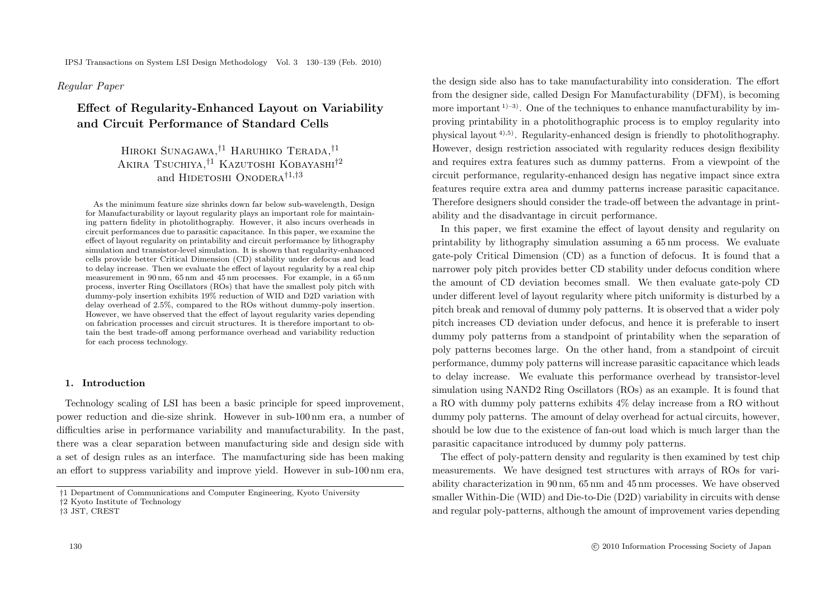# *Regular Paper*

# **Effect of Regularity-Enhanced Layout on Variability and Circuit Performance of Standard Cells**

HIROKI SUNAGAWA, <sup>†1</sup> HARUHIKO TERADA, <sup>†1</sup> AKIRA TSUCHIYA.<sup>†1</sup> KAZUTOSHI KOBAYASHI<sup>†2</sup> and HIDETOSHI ONODERA<sup>†1,†3</sup>

As the minimum feature size shrinks down far below sub-wavelength, Design for Manufacturability or layout regularity plays an important role for maintaining pattern fidelity in photolithography. However, it also incurs overheads in circuit performances due to parasitic capacitance. In this paper, we examine the effect of layout regularity on printability and circuit performance by lithography simulation and transistor-level simulation. It is shown that regularity-enhanced cells provide better Critical Dimension (CD) stability under defocus and lead to delay increase. Then we evaluate the effect of layout regularity by a real chip measurement in 90 nm, 65 nm and 45 nm processes. For example, in a 65 nm process, inverter Ring Oscillators (ROs) that have the smallest poly pitch with dummy-poly insertion exhibits 19% reduction of WID and D2D variation with delay overhead of 2.5%, compared to the ROs without dummy-poly insertion. However, we have observed that the effect of layout regularity varies depending on fabrication processes and circuit structures. It is therefore important to obtain the best trade-off among performance overhead and variability reduction for each process technology.

### **1. Introduction**

Technology scaling of LSI has been a basic principle for speed improvement, power reduction and die-size shrink. However in sub-100 nm era, a number of difficulties arise in performance variability and manufacturability. In the past, there was a clear separation between manufacturing side and design side with a set of design rules as an interface. The manufacturing side has been making an effort to suppress variability and improve yield. However in sub-100 nm era,

the design side also has to take manufacturability into consideration. The effort from the designer side, called Design For Manufacturability (DFM), is becoming more important  $(1)^{-3}$ . One of the techniques to enhance manufacturability by improving printability in a photolithographic process is to employ regularity into physical layout  $(4)$ , 5). Regularity-enhanced design is friendly to photolithography. However, design restriction associated with regularity reduces design flexibility and requires extra features such as dummy patterns. From a viewpoint of the circuit performance, regularity-enhanced design has negative impact since extra features require extra area and dummy patterns increase parasitic capacitance. Therefore designers should consider the trade-off between the advantage in printability and the disadvantage in circuit performance.

In this paper, we first examine the effect of layout density and regularity on printability by lithography simulation assuming a 65 nm process. We evaluate gate-poly Critical Dimension (CD) as a function of defocus. It is found that a narrower poly pitch provides better CD stability under defocus condition where the amount of CD deviation becomes small. We then evaluate gate-poly CD under different level of layout regularity where pitch uniformity is disturbed by a pitch break and removal of dummy poly patterns. It is observed that a wider poly pitch increases CD deviation under defocus, and hence it is preferable to insert dummy poly patterns from a standpoint of printability when the separation of poly patterns becomes large. On the other hand, from a standpoint of circuit performance, dummy poly patterns will increase parasitic capacitance which leads to delay increase. We evaluate this performance overhead by transistor-level simulation using NAND2 Ring Oscillators (ROs) as an example. It is found that a RO with dummy poly patterns exhibits 4% delay increase from a RO without dummy poly patterns. The amount of delay overhead for actual circuits, however, should be low due to the existence of fan-out load which is much larger than the parasitic capacitance introduced by dummy poly patterns.

The effect of poly-pattern density and regularity is then examined by test chip measurements. We have designed test structures with arrays of ROs for variability characterization in 90 nm, 65 nm and 45 nm processes. We have observed smaller Within-Die (WID) and Die-to-Die (D2D) variability in circuits with dense and regular poly-patterns, although the amount of improvement varies depending

<sup>†</sup>1 Department of Communications and Computer Engineering, Kyoto University

<sup>†</sup>2 Kyoto Institute of Technology

<sup>†</sup>3 JST, CREST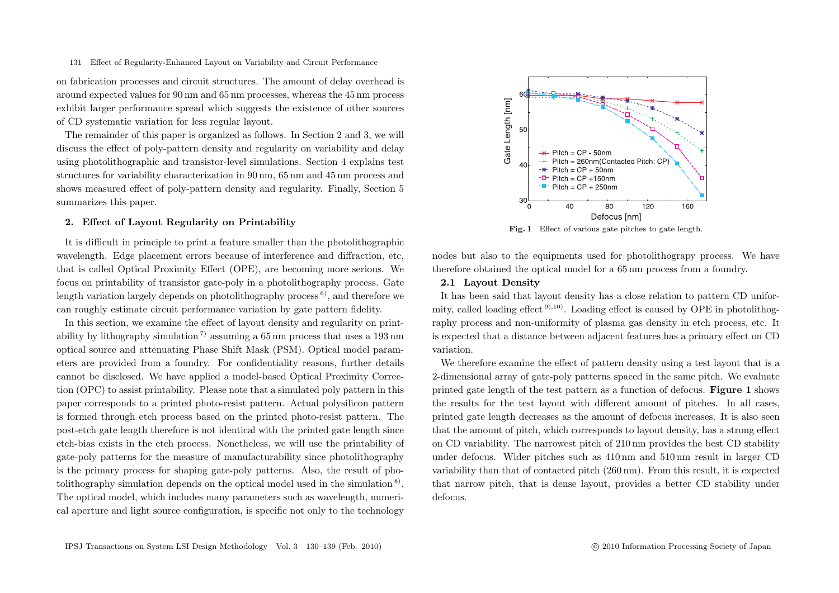on fabrication processes and circuit structures. The amount of delay overhead is around expected values for 90 nm and 65 nm processes, whereas the 45 nm process exhibit larger performance spread which suggests the existence of other sources of CD systematic variation for less regular layout.

The remainder of this paper is organized as follows. In Section 2 and 3, we will discuss the effect of poly-pattern density and regularity on variability and delay using photolithographic and transistor-level simulations. Section 4 explains test structures for variability characterization in 90 nm, 65 nm and 45 nm process and shows measured effect of poly-pattern density and regularity. Finally, Section 5 summarizes this paper.

#### **2. Effect of Layout Regularity on Printability**

It is difficult in principle to print a feature smaller than the photolithographic wavelength. Edge placement errors because of interference and diffraction, etc, that is called Optical Proximity Effect (OPE), are becoming more serious. We focus on printability of transistor gate-poly in a photolithography process. Gate length variation largely depends on photolithography process  $\delta$ , and therefore we can roughly estimate circuit performance variation by gate pattern fidelity.

In this section, we examine the effect of layout density and regularity on printability by lithography simulation<sup>7)</sup> assuming a 65 nm process that uses a 193 nm optical source and attenuating Phase Shift Mask (PSM). Optical model parameters are provided from a foundry. For confidentiality reasons, further details cannot be disclosed. We have applied a model-based Optical Proximity Correction (OPC) to assist printability. Please note that a simulated poly pattern in this paper corresponds to a printed photo-resist pattern. Actual polysilicon pattern is formed through etch process based on the printed photo-resist pattern. The post-etch gate length therefore is not identical with the printed gate length since etch-bias exists in the etch process. Nonetheless, we will use the printability of gate-poly patterns for the measure of manufacturability since photolithography is the primary process for shaping gate-poly patterns. Also, the result of photolithography simulation depends on the optical model used in the simulation 8). The optical model, which includes many parameters such as wavelength, numerical aperture and light source configuration, is specific not only to the technology



Fig. 1 Effect of various gate pitches to gate length.

nodes but also to the equipments used for photolithograpy process. We have therefore obtained the optical model for a 65 nm process from a foundry.

# **2.1 Layout Density**

It has been said that layout density has a close relation to pattern CD uniformity, called loading effect  $9,10$ . Loading effect is caused by OPE in photolithography process and non-uniformity of plasma gas density in etch process, etc. It is expected that a distance between adjacent features has a primary effect on CD variation.

We therefore examine the effect of pattern density using a test layout that is a 2-dimensional array of gate-poly patterns spaced in the same pitch. We evaluate printed gate length of the test pattern as a function of defocus. **Figure 1** shows the results for the test layout with different amount of pitches. In all cases, printed gate length decreases as the amount of defocus increases. It is also seen that the amount of pitch, which corresponds to layout density, has a strong effect on CD variability. The narrowest pitch of 210 nm provides the best CD stability under defocus. Wider pitches such as 410 nm and 510 nm result in larger CD variability than that of contacted pitch (260 nm). From this result, it is expected that narrow pitch, that is dense layout, provides a better CD stability under defocus.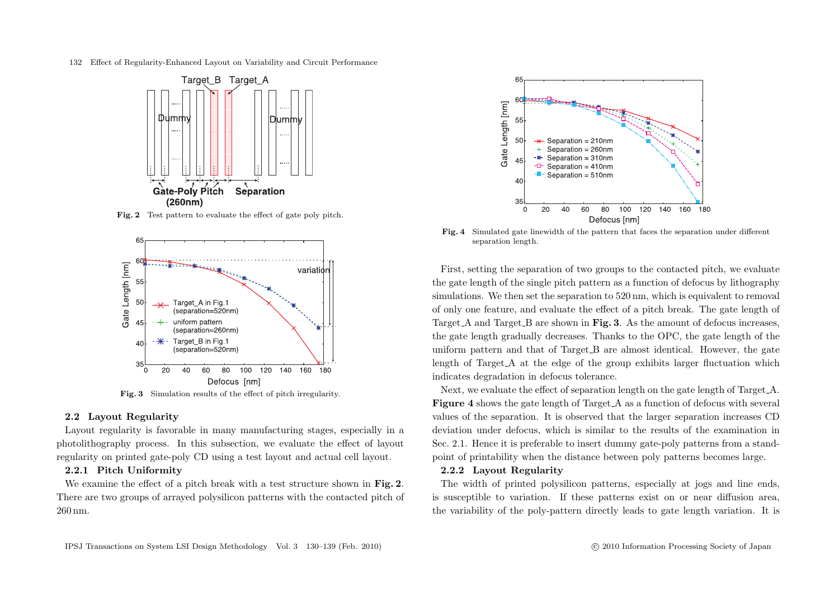

**Fig. 2** Test pattern to evaluate the effect of gate poly pitch.



**Fig. 3** Simulation results of the effect of pitch irregularity.

#### **2.2 Layout Regularity**

Layout regularity is favorable in many manufacturing stages, especially in a photolithography process. In this subsection, we evaluate the effect of layout regularity on printed gate-poly CD using a test layout and actual cell layout.

# **2.2.1 Pitch Uniformity**

We examine the effect of a pitch break with a test structure shown in **Fig. 2**. There are two groups of arrayed polysilicon patterns with the contacted pitch of 260 nm.



**Fig. 4** Simulated gate linewidth of the pattern that faces the separation under different separation length.

First, setting the separation of two groups to the contacted pitch, we evaluate the gate length of the single pitch pattern as a function of defocus by lithography simulations. We then set the separation to 520 nm, which is equivalent to removal of only one feature, and evaluate the effect of a pitch break. The gate length of Target A and Target B are shown in **Fig. 3**. As the amount of defocus increases, the gate length gradually decreases. Thanks to the OPC, the gate length of the uniform pattern and that of Target B are almost identical. However, the gate length of Target A at the edge of the group exhibits larger fluctuation which indicates degradation in defocus tolerance.

Next, we evaluate the effect of separation length on the gate length of Target A. **Figure 4** shows the gate length of Target A as a function of defocus with several values of the separation. It is observed that the larger separation increases CD deviation under defocus, which is similar to the results of the examination in Sec. 2.1. Hence it is preferable to insert dummy gate-poly patterns from a standpoint of printability when the distance between poly patterns becomes large.

#### **2.2.2 Layout Regularity**

The width of printed polysilicon patterns, especially at jogs and line ends, is susceptible to variation. If these patterns exist on or near diffusion area, the variability of the poly-pattern directly leads to gate length variation. It is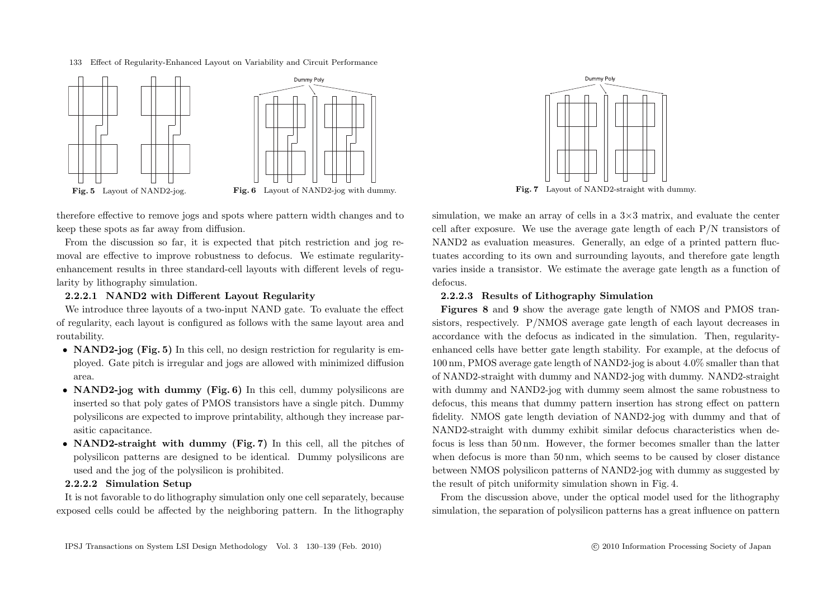



therefore effective to remove jogs and spots where pattern width changes and to keep these spots as far away from diffusion.

From the discussion so far, it is expected that pitch restriction and jog removal are effective to improve robustness to defocus. We estimate regularityenhancement results in three standard-cell layouts with different levels of regularity by lithography simulation.

# **2.2.2.1 NAND2 with Different Layout Regularity**

We introduce three layouts of a two-input NAND gate. To evaluate the effect of regularity, each layout is configured as follows with the same layout area and routability.

- *•* **NAND2-jog (Fig. 5)** In this cell, no design restriction for regularity is employed. Gate pitch is irregular and jogs are allowed with minimized diffusion area.
- *•* **NAND2-jog with dummy (Fig. 6)** In this cell, dummy polysilicons are inserted so that poly gates of PMOS transistors have a single pitch. Dummy polysilicons are expected to improve printability, although they increase parasitic capacitance.
- *•* **NAND2-straight with dummy (Fig. 7)** In this cell, all the pitches of polysilicon patterns are designed to be identical. Dummy polysilicons are used and the jog of the polysilicon is prohibited.

# **2.2.2.2 Simulation Setup**

It is not favorable to do lithography simulation only one cell separately, because exposed cells could be affected by the neighboring pattern. In the lithography

simulation, we make an array of cells in a 3*×*3 matrix, and evaluate the center cell after exposure. We use the average gate length of each P/N transistors of NAND2 as evaluation measures. Generally, an edge of a printed pattern fluctuates according to its own and surrounding layouts, and therefore gate length varies inside a transistor. We estimate the average gate length as a function of defocus.

# **2.2.2.3 Results of Lithography Simulation**

**Figures 8** and **9** show the average gate length of NMOS and PMOS transistors, respectively. P/NMOS average gate length of each layout decreases in accordance with the defocus as indicated in the simulation. Then, regularityenhanced cells have better gate length stability. For example, at the defocus of 100 nm, PMOS average gate length of NAND2-jog is about 4.0% smaller than that of NAND2-straight with dummy and NAND2-jog with dummy. NAND2-straight with dummy and NAND2-jog with dummy seem almost the same robustness to defocus, this means that dummy pattern insertion has strong effect on pattern fidelity. NMOS gate length deviation of NAND2-jog with dummy and that of NAND2-straight with dummy exhibit similar defocus characteristics when defocus is less than 50 nm. However, the former becomes smaller than the latter when defocus is more than 50 nm, which seems to be caused by closer distance between NMOS polysilicon patterns of NAND2-jog with dummy as suggested by the result of pitch uniformity simulation shown in Fig. 4.

From the discussion above, under the optical model used for the lithography simulation, the separation of polysilicon patterns has a great influence on pattern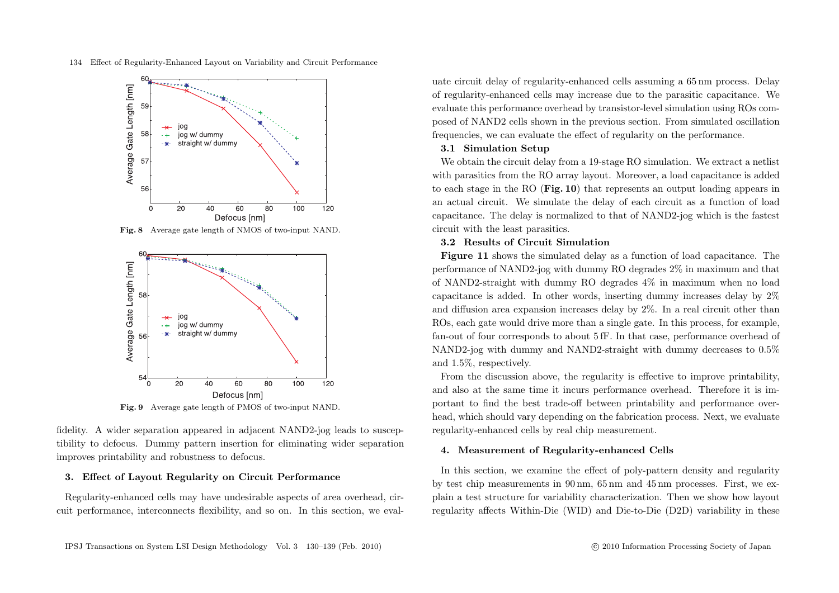

**Fig. 8** Average gate length of NMOS of two-input NAND.



fidelity. A wider separation appeared in adjacent NAND2-jog leads to susceptibility to defocus. Dummy pattern insertion for eliminating wider separation improves printability and robustness to defocus.

#### **3. Effect of Layout Regularity on Circuit Performance**

Regularity-enhanced cells may have undesirable aspects of area overhead, circuit performance, interconnects flexibility, and so on. In this section, we evaluate circuit delay of regularity-enhanced cells assuming a 65 nm process. Delay of regularity-enhanced cells may increase due to the parasitic capacitance. We evaluate this performance overhead by transistor-level simulation using ROs composed of NAND2 cells shown in the previous section. From simulated oscillation frequencies, we can evaluate the effect of regularity on the performance.

# **3.1 Simulation Setup**

We obtain the circuit delay from a 19-stage RO simulation. We extract a netlist with parasitics from the RO array layout. Moreover, a load capacitance is added to each stage in the RO (**Fig. 10**) that represents an output loading appears in an actual circuit. We simulate the delay of each circuit as a function of load capacitance. The delay is normalized to that of NAND2-jog which is the fastest circuit with the least parasitics.

# **3.2 Results of Circuit Simulation**

**Figure 11** shows the simulated delay as a function of load capacitance. The performance of NAND2-jog with dummy RO degrades 2% in maximum and that of NAND2-straight with dummy RO degrades 4% in maximum when no load capacitance is added. In other words, inserting dummy increases delay by 2% and diffusion area expansion increases delay by 2%. In a real circuit other than ROs, each gate would drive more than a single gate. In this process, for example, fan-out of four corresponds to about 5 fF. In that case, performance overhead of NAND2-jog with dummy and NAND2-straight with dummy decreases to 0.5% and 1.5%, respectively.

From the discussion above, the regularity is effective to improve printability, and also at the same time it incurs performance overhead. Therefore it is important to find the best trade-off between printability and performance overhead, which should vary depending on the fabrication process. Next, we evaluate regularity-enhanced cells by real chip measurement.

# **4. Measurement of Regularity-enhanced Cells**

In this section, we examine the effect of poly-pattern density and regularity by test chip measurements in 90 nm, 65 nm and 45 nm processes. First, we explain a test structure for variability characterization. Then we show how layout regularity affects Within-Die (WID) and Die-to-Die (D2D) variability in these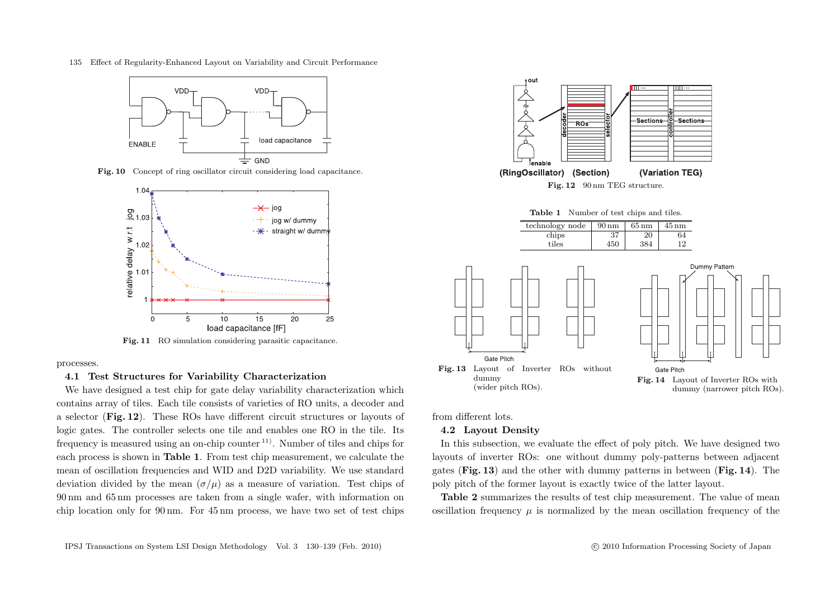

Fig. 10 Concept of ring oscillator circuit considering load capacitance.



**Fig. 11** RO simulation considering parasitic capacitance.

processes.

#### **4.1 Test Structures for Variability Characterization**

We have designed a test chip for gate delay variability characterization which contains array of tiles. Each tile consists of varieties of RO units, a decoder and a selector (**Fig. 12**). These ROs have different circuit structures or layouts of logic gates. The controller selects one tile and enables one RO in the tile. Its frequency is measured using an on-chip counter 11). Number of tiles and chips for each process is shown in **Table 1**. From test chip measurement, we calculate the mean of oscillation frequencies and WID and D2D variability. We use standard deviation divided by the mean  $(\sigma/\mu)$  as a measure of variation. Test chips of 90 nm and 65 nm processes are taken from a single wafer, with information on chip location only for 90 nm. For 45 nm process, we have two set of test chips



from different lots.

#### **4.2 Layout Density**

In this subsection, we evaluate the effect of poly pitch. We have designed two layouts of inverter ROs: one without dummy poly-patterns between adjacent gates (**Fig. 13**) and the other with dummy patterns in between (**Fig. 14**). The poly pitch of the former layout is exactly twice of the latter layout.

**Table 2** summarizes the results of test chip measurement. The value of mean oscillation frequency  $\mu$  is normalized by the mean oscillation frequency of the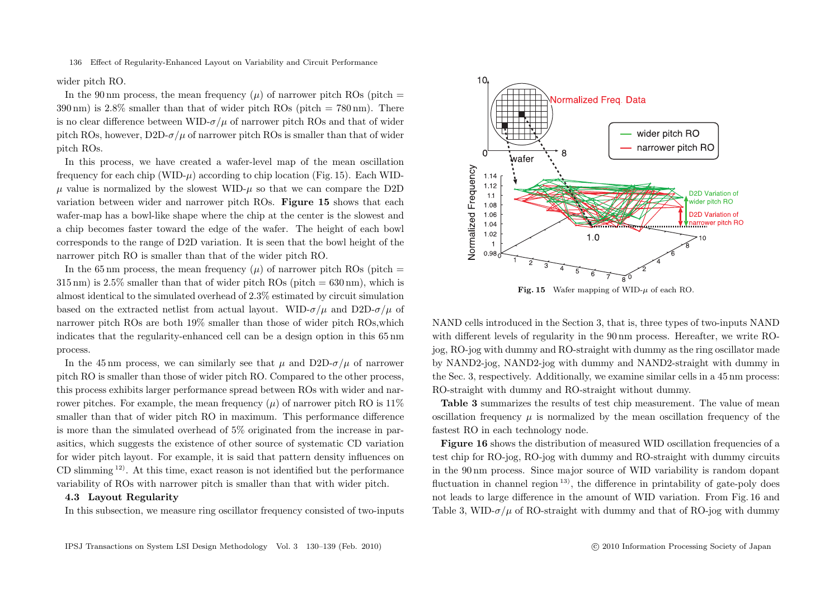wider pitch RO.

In the 90 nm process, the mean frequency  $(\mu)$  of narrower pitch ROs (pitch =  $390 \text{ nm}$ ) is  $2.8\%$  smaller than that of wider pitch ROs (pitch = 780 nm). There is no clear difference between WID- $\sigma/u$  of narrower pitch ROs and that of wider pitch ROs, however, D2D- $\sigma/\mu$  of narrower pitch ROs is smaller than that of wider pitch ROs.

In this process, we have created a wafer-level map of the mean oscillation frequency for each chip (WID- $\mu$ ) according to chip location (Fig. 15). Each WIDμ value is normalized by the slowest WID-μ so that we can compare the D2D variation between wider and narrower pitch ROs. **Figure 15** shows that each wafer-map has a bowl-like shape where the chip at the center is the slowest and a chip becomes faster toward the edge of the wafer. The height of each bowl corresponds to the range of D2D variation. It is seen that the bowl height of the narrower pitch RO is smaller than that of the wider pitch RO.

In the 65 nm process, the mean frequency  $(\mu)$  of narrower pitch ROs (pitch =  $315 \text{ nm}$ ) is  $2.5\%$  smaller than that of wider pitch ROs (pitch =  $630 \text{ nm}$ ), which is almost identical to the simulated overhead of 2.3% estimated by circuit simulation based on the extracted netlist from actual layout. WID- $\sigma/\mu$  and D2D- $\sigma/\mu$  of narrower pitch ROs are both 19% smaller than those of wider pitch ROs,which indicates that the regularity-enhanced cell can be a design option in this 65 nm process.

In the 45 nm process, we can similarly see that  $\mu$  and D2D- $\sigma/\mu$  of narrower pitch RO is smaller than those of wider pitch RO. Compared to the other process, this process exhibits larger performance spread between ROs with wider and narrower pitches. For example, the mean frequency  $(\mu)$  of narrower pitch RO is 11% smaller than that of wider pitch RO in maximum. This performance difference is more than the simulated overhead of 5% originated from the increase in parasitics, which suggests the existence of other source of systematic CD variation for wider pitch layout. For example, it is said that pattern density influences on CD slimming  $(12)$ . At this time, exact reason is not identified but the performance variability of ROs with narrower pitch is smaller than that with wider pitch.

# **4.3 Layout Regularity**

In this subsection, we measure ring oscillator frequency consisted of two-inputs



**Fig. 15** Wafer mapping of WID- $\mu$  of each RO.

NAND cells introduced in the Section 3, that is, three types of two-inputs NAND with different levels of regularity in the 90 nm process. Hereafter, we write ROjog, RO-jog with dummy and RO-straight with dummy as the ring oscillator made by NAND2-jog, NAND2-jog with dummy and NAND2-straight with dummy in the Sec. 3, respectively. Additionally, we examine similar cells in a 45 nm process: RO-straight with dummy and RO-straight without dummy.

**Table 3** summarizes the results of test chip measurement. The value of mean oscillation frequency  $\mu$  is normalized by the mean oscillation frequency of the fastest RO in each technology node.

**Figure 16** shows the distribution of measured WID oscillation frequencies of a test chip for RO-jog, RO-jog with dummy and RO-straight with dummy circuits in the 90 nm process. Since major source of WID variability is random dopant fluctuation in channel region  $(13)$ , the difference in printability of gate-poly does not leads to large difference in the amount of WID variation. From Fig. 16 and Table 3, WID- $\sigma/\mu$  of RO-straight with dummy and that of RO-jog with dummy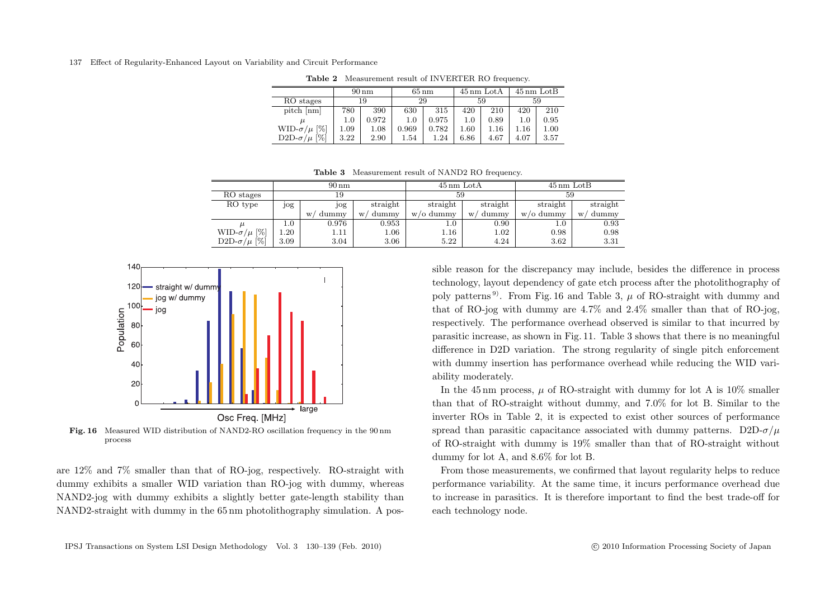|                                         | $90 \text{ nm}$ |       | $65 \,\rm nm$ |       | $45 \,\mathrm{nm}$ LotA |      | $45 \,\mathrm{nm}$ LotB |      |
|-----------------------------------------|-----------------|-------|---------------|-------|-------------------------|------|-------------------------|------|
| RO stages                               | 19              |       | 29            |       | 59                      |      | 59                      |      |
| pitch [nm]                              | 780             | 390   | 630           | 315   | 420                     | 210  | 420                     | 210  |
|                                         | 1.0             | 0.972 | $1.0\,$       | 0.975 | 1.0                     | 0.89 | 1.0                     | 0.95 |
| $\left[\% \right]$<br>WID- $\sigma/\mu$ | 1.09            | 1.08  | 0.969         | 0.782 | $1.60\,$                | 1.16 | $1.16\,$                | 1.00 |
| [%]<br>D <sub>2</sub> D- $\sigma/\mu$   | 3.22            | 2.90  | $1.54\,$      | 1.24  | 6.86                    | 4.67 | 4.07                    | 3.57 |

**Table 2** Measurement result of INVERTER RO frequency.

**Table 3** Measurement result of NAND2 RO frequency.

|                       |         | $90 \text{ nm}$ |            | $45 \,\mathrm{nm}$ LotA |            | $45 \,\mathrm{nm}$ LotB |            |  |  |  |  |  |  |  |
|-----------------------|---------|-----------------|------------|-------------------------|------------|-------------------------|------------|--|--|--|--|--|--|--|
| RO stages             |         | 19              |            | 59                      |            | 59                      |            |  |  |  |  |  |  |  |
| RO type               | jog     | jog             | straight   | straight                | straight   | straight                | straight   |  |  |  |  |  |  |  |
|                       |         | dummy<br>W      | dummy<br>W | w/o dummy               | dummy<br>W | $w$ /0 dummy            | dummy<br>W |  |  |  |  |  |  |  |
| $\mu$                 | $1.0\,$ | 0.976           | 0.953      | $1.0\,$                 | 0.90       | $1.0\,$                 | 0.93       |  |  |  |  |  |  |  |
| WID- $\sigma/\mu$ [%] | 1.20    | 1.11            | $1.06\,$   | $1.16\,$                | 1.02       | 0.98                    | 0.98       |  |  |  |  |  |  |  |
| D2D- $\sigma/\mu$ [%] | 3.09    | 3.04            | 3.06       | 5.22                    | 4.24       | 3.62                    | 3.31       |  |  |  |  |  |  |  |



**Fig. 16** Measured WID distribution of NAND2-RO oscillation frequency in the 90 nm process

are 12% and 7% smaller than that of RO-jog, respectively. RO-straight with dummy exhibits a smaller WID variation than RO-jog with dummy, whereas NAND2-jog with dummy exhibits a slightly better gate-length stability than NAND2-straight with dummy in the 65 nm photolithography simulation. A possible reason for the discrepancy may include, besides the difference in process technology, layout dependency of gate etch process after the photolithography of poly patterns<sup>9</sup>. From Fig. 16 and Table 3,  $\mu$  of RO-straight with dummy and that of RO-jog with dummy are 4.7% and 2.4% smaller than that of RO-jog, respectively. The performance overhead observed is similar to that incurred by parasitic increase, as shown in Fig. 11. Table 3 shows that there is no meaningful difference in D2D variation. The strong regularity of single pitch enforcement with dummy insertion has performance overhead while reducing the WID variability moderately.

In the 45 nm process,  $\mu$  of RO-straight with dummy for lot A is 10% smaller than that of RO-straight without dummy, and 7.0% for lot B. Similar to the inverter ROs in Table 2, it is expected to exist other sources of performance spread than parasitic capacitance associated with dummy patterns. D2D- $\sigma/\mu$ of RO-straight with dummy is 19% smaller than that of RO-straight without dummy for lot A, and 8.6% for lot B.

From those measurements, we confirmed that layout regularity helps to reduce performance variability. At the same time, it incurs performance overhead due to increase in parasitics. It is therefore important to find the best trade-off for each technology node.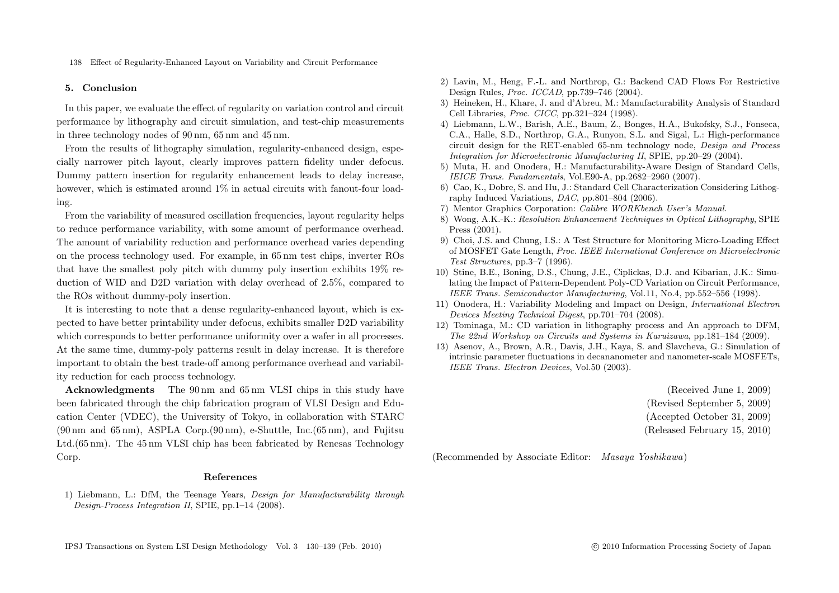#### **5. Conclusion**

In this paper, we evaluate the effect of regularity on variation control and circuit performance by lithography and circuit simulation, and test-chip measurements in three technology nodes of 90 nm, 65 nm and 45 nm.

From the results of lithography simulation, regularity-enhanced design, especially narrower pitch layout, clearly improves pattern fidelity under defocus. Dummy pattern insertion for regularity enhancement leads to delay increase, however, which is estimated around  $1\%$  in actual circuits with fanout-four loading.

From the variability of measured oscillation frequencies, layout regularity helps to reduce performance variability, with some amount of performance overhead. The amount of variability reduction and performance overhead varies depending on the process technology used. For example, in 65 nm test chips, inverter ROs that have the smallest poly pitch with dummy poly insertion exhibits 19% reduction of WID and D2D variation with delay overhead of 2.5%, compared to the ROs without dummy-poly insertion.

It is interesting to note that a dense regularity-enhanced layout, which is expected to have better printability under defocus, exhibits smaller D2D variability which corresponds to better performance uniformity over a wafer in all processes. At the same time, dummy-poly patterns result in delay increase. It is therefore important to obtain the best trade-off among performance overhead and variability reduction for each process technology.

**Acknowledgments** The 90 nm and 65 nm VLSI chips in this study have been fabricated through the chip fabrication program of VLSI Design and Education Center (VDEC), the University of Tokyo, in collaboration with STARC  $(90 \,\mathrm{nm}$  and  $65 \,\mathrm{nm}$ ), ASPLA Corp. $(90 \,\mathrm{nm})$ , e-Shuttle, Inc. $(65 \,\mathrm{nm})$ , and Fujitsu Ltd.(65 nm). The 45 nm VLSI chip has been fabricated by Renesas Technology Corp.

#### **References**

1) Liebmann, L.: DfM, the Teenage Years, *Design for Manufacturability through Design-Process Integration II*, SPIE, pp.1–14 (2008).

- 2) Lavin, M., Heng, F.-L. and Northrop, G.: Backend CAD Flows For Restrictive Design Rules, *Proc. ICCAD*, pp.739–746 (2004).
- 3) Heineken, H., Khare, J. and d'Abreu, M.: Manufacturability Analysis of Standard Cell Libraries, *Proc. CICC*, pp.321–324 (1998).
- 4) Liebmann, L.W., Barish, A.E., Baum, Z., Bonges, H.A., Bukofsky, S.J., Fonseca, C.A., Halle, S.D., Northrop, G.A., Runyon, S.L. and Sigal, L.: High-performance circuit design for the RET-enabled 65-nm technology node, *Design and Process Integration for Microelectronic Manufacturing II*, SPIE, pp.20–29 (2004).
- 5) Muta, H. and Onodera, H.: Manufacturability-Aware Design of Standard Cells, *IEICE Trans. Fundamentals*, Vol.E90-A, pp.2682–2960 (2007).
- 6) Cao, K., Dobre, S. and Hu, J.: Standard Cell Characterization Considering Lithography Induced Variations, *DAC*, pp.801–804 (2006).
- 7) Mentor Graphics Corporation: *Calibre WORKbench User's Manual*.
- 8) Wong, A.K.-K.: *Resolution Enhancement Techniques in Optical Lithography*, SPIE Press (2001).
- 9) Choi, J.S. and Chung, I.S.: A Test Structure for Monitoring Micro-Loading Effect of MOSFET Gate Length, *Proc. IEEE International Conference on Microelectronic Test Structures*, pp.3–7 (1996).
- 10) Stine, B.E., Boning, D.S., Chung, J.E., Ciplickas, D.J. and Kibarian, J.K.: Simulating the Impact of Pattern-Dependent Poly-CD Variation on Circuit Performance, *IEEE Trans. Semiconductor Manufacturing*, Vol.11, No.4, pp.552–556 (1998).
- 11) Onodera, H.: Variability Modeling and Impact on Design, *International Electron Devices Meeting Technical Digest*, pp.701–704 (2008).
- 12) Tominaga, M.: CD variation in lithography process and An approach to DFM, *The 22nd Workshop on Circuits and Systems in Karuizawa*, pp.181–184 (2009).
- 13) Asenov, A., Brown, A.R., Davis, J.H., Kaya, S. and Slavcheva, G.: Simulation of intrinsic parameter fluctuations in decananometer and nanometer-scale MOSFETs, *IEEE Trans. Electron Devices*, Vol.50 (2003).

(Received June 1, 2009) (Revised September 5, 2009) (Accepted October 31, 2009) (Released February 15, 2010)

(Recommended by Associate Editor: *Masaya Yoshikawa*)